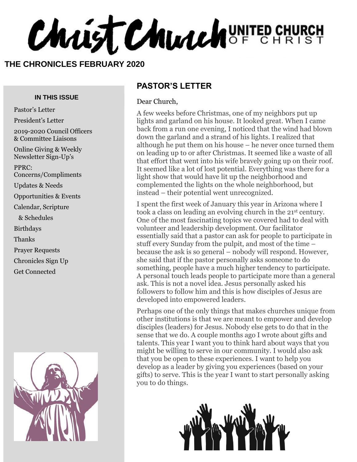Christ Church UNITED CHURCH

#### **THE CHRONICLES FEBRUARY 2020**

#### **IN THIS ISSUE**

Pastor's Letter President's Letter 2019-2020 Council Officers & Committee Liaisons Online Giving & Weekly Newsletter Sign-Up's PPRC: Concerns/Compliments Updates & Needs Opportunities & Events Calendar, Scripture & Schedules Birthdays Thanks Prayer Requests Chronicles Sign Up Get Connected



#### **PASTOR'S LETTER**

#### Dear Church,

A few weeks before Christmas, one of my neighbors put up lights and garland on his house. It looked great. When I came back from a run one evening, I noticed that the wind had blown down the garland and a strand of his lights. I realized that although he put them on his house – he never once turned them on leading up to or after Christmas. It seemed like a waste of all that effort that went into his wife bravely going up on their roof. It seemed like a lot of lost potential. Everything was there for a light show that would have lit up the neighborhood and complemented the lights on the whole neighborhood, but instead – their potential went unrecognized.

I spent the first week of January this year in Arizona where I took a class on leading an evolving church in the 21st century. One of the most fascinating topics we covered had to deal with volunteer and leadership development. Our facilitator essentially said that a pastor can ask for people to participate in stuff every Sunday from the pulpit, and most of the time – because the ask is so general – nobody will respond. However, she said that if the pastor personally asks someone to do something, people have a much higher tendency to participate. A personal touch leads people to participate more than a general ask. This is not a novel idea. Jesus personally asked his followers to follow him and this is how disciples of Jesus are developed into empowered leaders.

Perhaps one of the only things that makes churches unique from other institutions is that we are meant to empower and develop disciples (leaders) for Jesus. Nobody else gets to do that in the sense that we do. A couple months ago I wrote about gifts and talents. This year I want you to think hard about ways that you might be willing to serve in our community. I would also ask that you be open to these experiences. I want to help you develop as a leader by giving you experiences (based on your gifts) to serve. This is the year I want to start personally asking you to do things.

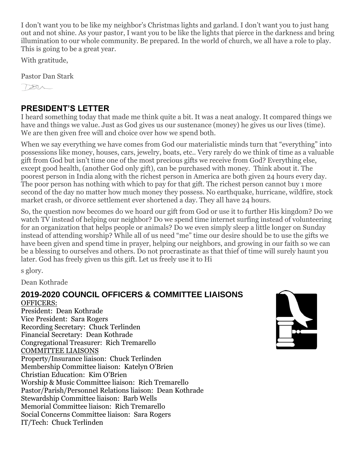I don't want you to be like my neighbor's Christmas lights and garland. I don't want you to just hang out and not shine. As your pastor, I want you to be like the lights that pierce in the darkness and bring illumination to our whole community. Be prepared. In the world of church, we all have a role to play. This is going to be a great year.

With gratitude,

Pastor Dan Stark

 $784$ 

#### **PRESIDENT'S LETTER**

I heard something today that made me think quite a bit. It was a neat analogy. It compared things we have and things we value. Just as God gives us our sustenance (money) he gives us our lives (time). We are then given free will and choice over how we spend both.

When we say everything we have comes from God our materialistic minds turn that "everything" into possessions like money, houses, cars, jewelry, boats, etc.. Very rarely do we think of time as a valuable gift from God but isn't time one of the most precious gifts we receive from God? Everything else, except good health, (another God only gift), can be purchased with money. Think about it. The poorest person in India along with the richest person in America are both given 24 hours every day. The poor person has nothing with which to pay for that gift. The richest person cannot buy 1 more second of the day no matter how much money they possess. No earthquake, hurricane, wildfire, stock market crash, or divorce settlement ever shortened a day. They all have 24 hours.

So, the question now becomes do we hoard our gift from God or use it to further His kingdom? Do we watch TV instead of helping our neighbor? Do we spend time internet surfing instead of volunteering for an organization that helps people or animals? Do we even simply sleep a little longer on Sunday instead of attending worship? While all of us need "me" time our desire should be to use the gifts we have been given and spend time in prayer, helping our neighbors, and growing in our faith so we can be a blessing to ourselves and others. Do not procrastinate as that thief of time will surely haunt you later. God has freely given us this gift. Let us freely use it to Hi

s glory.

Dean Kothrade

#### **2019-2020 COUNCIL OFFICERS & COMMITTEE LIAISONS** OFFICERS: President: Dean Kothrade Vice President: Sara Rogers Recording Secretary: Chuck Terlinden Financial Secretary: Dean Kothrade Congregational Treasurer: Rich Tremarello COMMITTEE LIAISONS Property/Insurance liaison: Chuck Terlinden Membership Committee liaison: Katelyn O'Brien Christian Education: Kim O'Brien Worship & Music Committee liaison: Rich Tremarello Pastor/Parish/Personnel Relations liaison: Dean Kothrade Stewardship Committee liaison: Barb Wells Memorial Committee liaison: Rich Tremarello Social Concerns Committee liaison: Sara Rogers IT/Tech: Chuck Terlinden

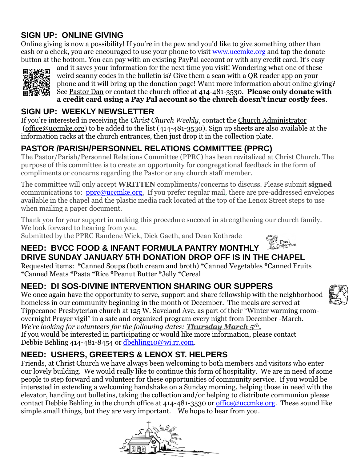### **SIGN UP: ONLINE GIVING**

Online giving is now a possibility! If you're in the pew and you'd like to give something other than cash or a check, you are encouraged to use your phone to visit [www.uccmke.org](http://www.uccmke.org/) and tap the [donate](https://www.paypal.com/cgi-bin/webscr?cmd=_s-xclick&hosted_button_id=D7W2VTZZBHZNU) button at the bottom. You can pay with an existing PayPal account or with any credit card. It's easy



and it saves your information for the next time you visit! Wondering what one of these weird scanny codes in the bulletin is? Give them a scan with a QR reader app on your phone and it will bring up the donation page! Want more information about online giving? See [Pastor Dan](mailto:dan_stark@att.net) or contact the church office at 414-481-3530. **Please only donate with a credit card using a Pay Pal account so the church doesn't incur costly fees**.

### **SIGN UP: WEEKLY NEWSLETTER**

If you're interested in receiving the *Christ Church Weekly*, contact the [Church Administrator](mailto:christ-church@att.net) (office@uccmke.org) to be added to the list (414-481-3530). Sign up sheets are also available at the information racks at the church entrances, then just drop it in the collection plate.

# **PASTOR /PARISH/PERSONNEL RELATIONS COMMITTEE (PPRC)**

The Pastor/Parish/Personnel Relations Committee (PPRC) has been revitalized at Christ Church. The purpose of this committee is to create an opportunity for congregational feedback in the form of compliments or concerns regarding the Pastor or any church staff member.

The committee will only accept **WRITTEN** compliments/concerns to discuss. Please submit **signed**  communications to: **[pprc@uccmke.org.](mailto:pprc@uccmke.org)** If you prefer regular mail, there are pre-addressed envelopes available in the chapel and the plastic media rack located at the top of the Lenox Street steps to use when mailing a paper document.

Thank you for your support in making this procedure succeed in strengthening our church family. We look forward to hearing from you.

Submitted by the PPRC Randene Wick, Dick Gaeth, and Dean Kothrade



### **NEED: BVCC FOOD & INFANT FORMULA PANTRY MONTHLY DRIVE SUNDAY JANUARY 5TH DONATION DROP OFF IS IN THE CHAPEL**

Requested items: \*Canned Soups (both cream and broth) \*Canned Vegetables \*Canned Fruits \*Canned Meats \*Pasta \*Rice \*Peanut Butter \*Jelly \*Cereal

# **NEED: DI SOS-DIVINE INTERVENTION SHARING OUR SUPPERS**

We once again have the opportunity to serve, support and share fellowship with the neighborhood homeless in our community beginning in the month of December. The meals are served at Tippecanoe Presbyterian church at 125 W. Saveland Ave. as part of their "Winter warming roomovernight Prayer vigil" in a safe and organized program every night from December -March. *We're looking for volunteers for the following dates: Thursday March 5th.* If you would be interested in participating or would like more information, please contact Debbie Behling 414-481-8454 or [dbehling10@wi.rr.com.](mailto:dbehling10@wi.rr.com)

# **NEED: USHERS, GREETERS & LENOX ST. HELPERS**

Friends, at Christ Church we have always been welcoming to both members and visitors who enter our lovely building. We would really like to continue this form of hospitality. We are in need of some people to step forward and volunteer for these opportunities of community service. If you would be interested in extending a welcoming handshake on a Sunday morning, helping those in need with the elevator, handing out bulletins, taking the collection and/or helping to distribute communion please contact Debbie Behling in the church office at  $414-481-3530$  or [office@uccmke.org.](mailto:office@uccmke.org) These sound like simple small things, but they are very important. We hope to hear from you.



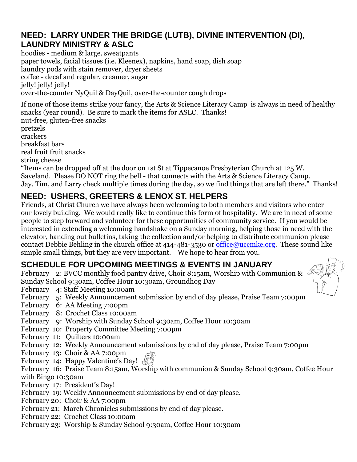### **NEED: LARRY UNDER THE BRIDGE (LUTB), DIVINE INTERVENTION (DI), LAUNDRY MINISTRY & ASLC**

hoodies - medium & large, sweatpants paper towels, facial tissues (i.e. Kleenex), napkins, hand soap, dish soap laundry pods with stain remover, dryer sheets coffee - decaf and regular, creamer, sugar jelly! jelly! jelly! over-the-counter NyQuil & DayQuil, over-the-counter cough drops

If none of those items strike your fancy, the Arts & Science Literacy Camp is always in need of healthy snacks (year round). Be sure to mark the items for ASLC. Thanks!

nut-free, gluten-free snacks pretzels crackers breakfast bars real fruit fruit snacks string cheese

"Items can be dropped off at the door on 1st St at Tippecanoe Presbyterian Church at 125 W. Saveland. Please DO NOT ring the bell - that connects with the Arts & Science Literacy Camp. Jay, Tim, and Larry check multiple times during the day, so we find things that are left there." Thanks!

## **NEED: USHERS, GREETERS & LENOX ST. HELPERS**

Friends, at Christ Church we have always been welcoming to both members and visitors who enter our lovely building. We would really like to continue this form of hospitality. We are in need of some people to step forward and volunteer for these opportunities of community service. If you would be interested in extending a welcoming handshake on a Sunday morning, helping those in need with the elevator, handing out bulletins, taking the collection and/or helping to distribute communion please contact Debbie Behling in the church office at 414-481-3530 or [office@uccmke.org.](mailto:office@uccmke.org) These sound like simple small things, but they are very important. We hope to hear from you.

### **SCHEDULE FOR UPCOMING MEETINGS & EVENTS IN JANUARY**

February 2: BVCC monthly food pantry drive, Choir 8:15am, Worship with Communion & Sunday School 9:30am, Coffee Hour 10:30am, Groundhog Day



- February 4: Staff Meeting 10:00am
- February 5: Weekly Announcement submission by end of day please, Praise Team 7:00pm
- February 6: AA Meeting 7:00pm
- February 8: Crochet Class 10:00am
- February 9: Worship with Sunday School 9:30am, Coffee Hour 10:30am
- February 10: Property Committee Meeting 7:00pm
- February 11: Quilters 10:00am
- February 12: Weekly Announcement submissions by end of day please, Praise Team 7:00pm
- February 13: Choir & AA 7:00pm
- February 14: Happy Valentine's Day!

February 16: Praise Team 8:15am, Worship with communion & Sunday School 9:30am, Coffee Hour with Bingo 10:30am

- February 17: President's Day!
- February 19: Weekly Announcement submissions by end of day please.
- February 20: Choir & AA 7:00pm
- February 21: March Chronicles submissions by end of day please.
- February 22: Crochet Class 10:00am
- February 23: Worship & Sunday School 9:30am, Coffee Hour 10:30am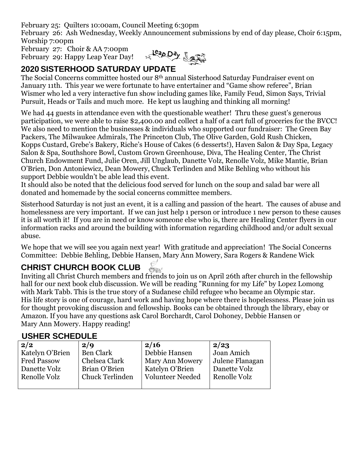February 25: Quilters 10:00am, Council Meeting 6:30pm February 26: Ash Wednesday, Weekly Announcement submissions by end of day please, Choir 6:15pm, Worship 7:00pm February 27: Choir & AA 7:00pm

February 29: Happy Leap Year Day!



### **2020 SISTERHOOD SATURDAY UPDATE**

The Social Concerns committee hosted our 8th annual Sisterhood Saturday Fundraiser event on January 11th. This year we were fortunate to have entertainer and "Game show referee", Brian Wismer who led a very interactive fun show including games like, Family Feud, Simon Says, Trivial Pursuit, Heads or Tails and much more. He kept us laughing and thinking all morning!

We had 44 guests in attendance even with the questionable weather! Thru these guest's generous participation, we were able to raise \$2,400.00 and collect a half of a cart full of groceries for the BVCC! We also need to mention the businesses & individuals who supported our fundraiser: The Green Bay Packers, The Milwaukee Admirals, The Princeton Club, The Olive Garden, Gold Rush Chicken, Kopps Custard, Grebe's Bakery, Riche's House of Cakes (6 desserts!), Haven Salon & Day Spa, Legacy Salon & Spa, Southshore Bowl, Custom Grown Greenhouse, Diva, The Healing Center, The Christ Church Endowment Fund, Julie Oren, Jill Unglaub, Danette Volz, Renolle Volz, Mike Mantie, Brian O'Brien, Don Antoniewicz, Dean Mowery, Chuck Terlinden and Mike Behling who without his support Debbie wouldn't be able lead this event.

It should also be noted that the delicious food served for lunch on the soup and salad bar were all donated and homemade by the social concerns committee members.

Sisterhood Saturday is not just an event, it is a calling and passion of the heart. The causes of abuse and homelessness are very important. If we can just help 1 person or introduce 1 new person to these causes it is all worth it! If you are in need or know someone else who is, there are Healing Center flyers in our information racks and around the building with information regarding childhood and/or adult sexual abuse.

We hope that we will see you again next year! With gratitude and appreciation! The Social Concerns Committee: Debbie Behling, Debbie Hansen, Mary Ann Mowery, Sara Rogers & Randene Wick

#### **CHRIST CHURCH BOOK CLUB**  $CDE$

Inviting all Christ Church members and friends to join us on April 26th after church in the fellowship hall for our next book club discussion. We will be reading "Running for my Life" by Lopez Lomong with Mark Tabb. This is the true story of a Sudanese child refugee who became an Olympic star. His life story is one of courage, hard work and having hope where there is hopelessness. Please join us for thought provoking discussion and fellowship. Books can be obtained through the library, ebay or Amazon. If you have any questions ask Carol Borchardt, Carol Dohoney, Debbie Hansen or Mary Ann Mowery. Happy reading!

#### **USHER SCHEDULE**

| 2/2                | 2/9                    | 2/16                    | 2/23            |
|--------------------|------------------------|-------------------------|-----------------|
| Katelyn O'Brien    | <b>Ben Clark</b>       | Debbie Hansen           | Joan Amich      |
| <b>Fred Passow</b> | Chelsea Clark          | <b>Mary Ann Mowery</b>  | Julene Flanagan |
| Danette Volz       | Brian O'Brien          | Katelyn O'Brien         | Danette Volz    |
| Renolle Volz       | <b>Chuck Terlinden</b> | <b>Volunteer Needed</b> | Renolle Volz    |
|                    |                        |                         |                 |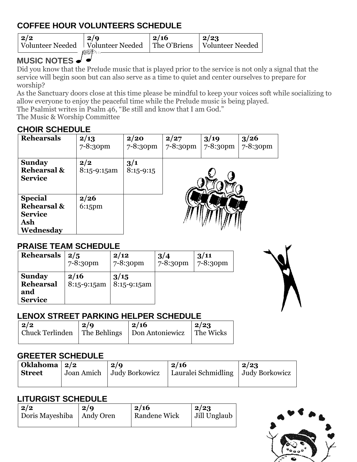# **COFFEE HOUR VOLUNTEERS SCHEDULE**

**2/2** Volunteer Needed **2/9** Volunteer Needed **2/16** The O'Briens **2/23** Volunteer Needed

# **MUSIC NOTES**

Did you know that the Prelude music that is played prior to the service is not only a signal that the service will begin soon but can also serve as a time to quiet and center ourselves to prepare for worship?

As the Sanctuary doors close at this time please be mindful to keep your voices soft while socializing to allow everyone to enjoy the peaceful time while the Prelude music is being played.

The Psalmist writes in Psalm 46, "Be still and know that I am God."

The Music & Worship Committee

### **CHOIR SCHEDULE**

| <b>Rehearsals</b>                                                              | 2/13<br>$7 - 8:30$ pm | 2/20<br>$7 - 8:30$ pm | 2/27<br>$7 - 8:30pm$ | 3/19<br>7-8:30pm | 3/26<br>$7 - 8:30$ pm |
|--------------------------------------------------------------------------------|-----------------------|-----------------------|----------------------|------------------|-----------------------|
| <b>Sunday</b><br><b>Rehearsal &amp;</b><br><b>Service</b>                      | 2/2<br>8:15-9:15am    | 3/1<br>$8:15 - 9:15$  |                      |                  |                       |
| <b>Special</b><br><b>Rehearsal &amp;</b><br><b>Service</b><br>Ash<br>Wednesday | 2/26<br>$6:15$ pm     |                       |                      |                  |                       |

### **PRAISE TEAM SCHEDULE**

| <b>Rehearsals</b>                                   | 2/5                 | 2/12                | 3/4      | 3/11     |
|-----------------------------------------------------|---------------------|---------------------|----------|----------|
|                                                     | 7-8:30pm            | 7-8:30pm            | 7-8:30pm | 7-8:30pm |
| <b>Sunday</b><br>Rehearsal<br>and<br><b>Service</b> | 2/16<br>8:15-9:15am | 3/15<br>8:15-9:15am |          |          |

### **LENOX STREET PARKING HELPER SCHEDULE**

| $\mid$ 2/2 | 2/Q | $\vert$ 2/16                                                 | $\mid$ 2/23 |
|------------|-----|--------------------------------------------------------------|-------------|
|            |     | Chuck Terlinden   The Behlings   Don Antoniewicz   The Wicks |             |
|            |     |                                                              |             |

#### **GREETER SCHEDULE**

| Oklahoma   2/2 | 2/9                         | 2/16                                 | 2/23 |
|----------------|-----------------------------|--------------------------------------|------|
| <b>Street</b>  | Joan Amich   Judy Borkowicz | Lauralei Schmidling   Judy Borkowicz |      |
|                |                             |                                      |      |

### **LITURGIST SCHEDULE**

| $\sqrt{2}/2$                | 2/9 | 2/16                | 2/23         |
|-----------------------------|-----|---------------------|--------------|
| Doris Mayeshiba   Andy Oren |     | <b>Randene Wick</b> | Jill Unglaub |
|                             |     |                     |              |

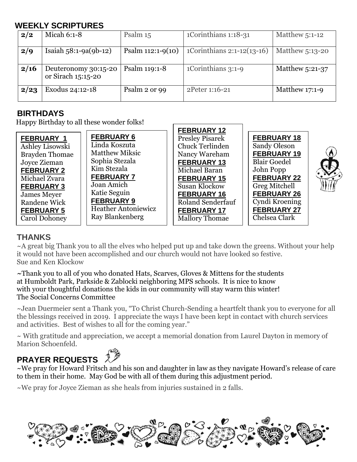### **WEEKLY SCRIPTURES**

| 2/2  | Micah 6:1-8                                | Psalm 15            | 1Corinthians 1:18-31         | Matthew 5:1-12   |
|------|--------------------------------------------|---------------------|------------------------------|------------------|
| 2/9  | Isaiah $58:1-9a(9b-12)$                    | Psalm $112:1-9(10)$ | 1Corinthians $2:1-12(13-16)$ | Matthew 5:13-20  |
| 2/16 | Deuteronomy 30:15-20<br>or Sirach 15:15-20 | Psalm 119:1-8       | 1Corinthians 3:1-9           | Matthew 5:21-37  |
| 2/23 | Exodus 24:12-18                            | Psalm 2 or 99       | 2Peter 1:16-21               | Matthew $17:1-9$ |

#### **BIRTHDAYS**

Happy Birthday to all these wonder folks!

|                       |                            | FEDRUARI IZ              |                     |  |
|-----------------------|----------------------------|--------------------------|---------------------|--|
| <b>FEBRUARY 1</b>     | <b>FEBRUARY 6</b>          | <b>Presley Pisarek</b>   | <b>FEBRUARY 18</b>  |  |
| Ashley Lisowski       | Linda Koszuta              | <b>Chuck Terlinden</b>   | Sandy Oleson        |  |
| <b>Brayden Thomae</b> | <b>Matthew Miksic</b>      | Nancy Wareham            | <b>FEBRUARY 19</b>  |  |
| Joyce Zieman          | Sophia Stezala             | <b>FEBRUARY 13</b>       | <b>Blair Goedel</b> |  |
| <b>FEBRUARY 2</b>     | Kim Stezala                | Michael Baran            | John Popp           |  |
| Michael Zvara         | <b>FEBRUARY 7</b>          | <b>FEBRUARY 15</b>       | <b>FEBRUARY 22</b>  |  |
| <b>FEBRUARY 3</b>     | Joan Amich                 | <b>Susan Klockow</b>     | Greg Mitchell       |  |
| <b>James Meyer</b>    | Katie Seguin               | <b>FEBRUARY 16</b>       | <b>FEBRUARY 26</b>  |  |
| Randene Wick          | <b>FEBRUARY 9</b>          | <b>Roland Senderfauf</b> | Cyndi Kroening      |  |
| <b>FEBRUARY 5</b>     | <b>Heather Antoniewicz</b> | <b>FEBRUARY 17</b>       | <b>FEBRUARY 27</b>  |  |
| <b>Carol Dohoney</b>  | Ray Blankenberg            | <b>Mallory Thomae</b>    | Chelsea Clark       |  |
|                       |                            |                          |                     |  |

**FEBRUARY 12**

#### **THANKS**

~A great big Thank you to all the elves who helped put up and take down the greens. Without your help it would not have been accomplished and our church would not have looked so festive. Sue and Ken Klockow

*~*Thank you to all of you who donated Hats, Scarves, Gloves & Mittens for the students at Humboldt Park, Parkside & Zablocki neighboring MPS schools. It is nice to know with your thoughtful donations the kids in our community will stay warm this winter! The Social Concerns Committee

~Jean Duermeier sent a Thank you, "To Christ Church-Sending a heartfelt thank you to everyone for all the blessings received in 2019. I appreciate the ways I have been kept in contact with church services and activities. Best of wishes to all for the coming year."

~ With gratitude and appreciation, we accept a memorial donation from Laurel Dayton in memory of Marion Schoenfeld.

# **PRAYER REQUESTS**

~We pray for Howard Fritsch and his son and daughter in law as they navigate Howard's release of care to them in their home. May God be with all of them during this adjustment period.

~We pray for Joyce Zieman as she heals from injuries sustained in 2 falls.